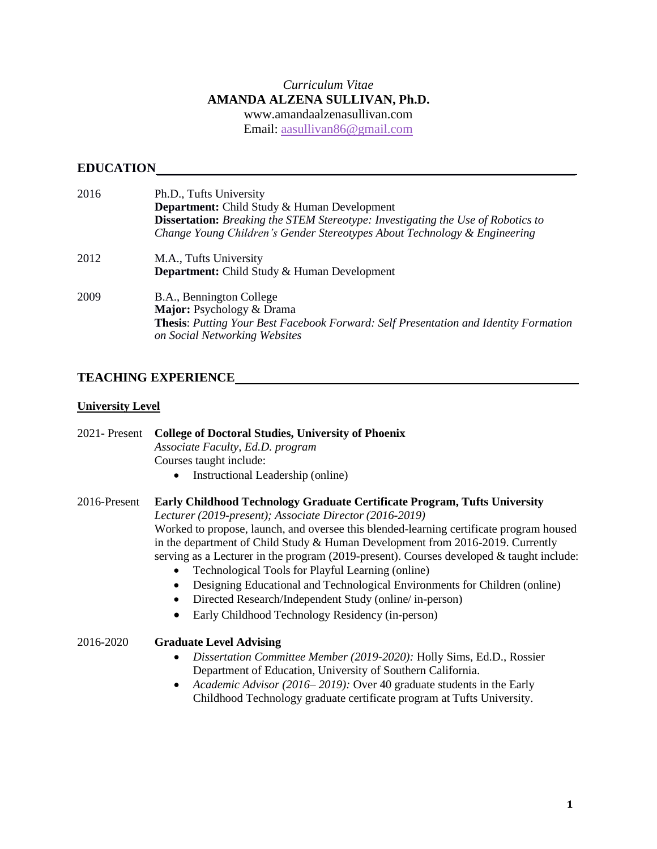## *Curriculum Vitae* **AMANDA ALZENA SULLIVAN, Ph.D.** [www.amandaalzenasullivan.com](http://www.amandaalzenasullivan.com/) Email: [aasullivan86@gmail.com](mailto:aasullivan86@gmail.com)

# **EDUCATION**

| 2016 | Ph.D., Tufts University                                                                                                      |
|------|------------------------------------------------------------------------------------------------------------------------------|
|      | <b>Department:</b> Child Study & Human Development                                                                           |
|      | <b>Dissertation:</b> Breaking the STEM Stereotype: Investigating the Use of Robotics to                                      |
|      | Change Young Children's Gender Stereotypes About Technology & Engineering                                                    |
| 2012 | M.A., Tufts University                                                                                                       |
|      | <b>Department:</b> Child Study & Human Development                                                                           |
| 2009 | B.A., Bennington College                                                                                                     |
|      | Major: Psychology & Drama                                                                                                    |
|      | <b>Thesis:</b> Putting Your Best Facebook Forward: Self Presentation and Identity Formation<br>on Social Networking Websites |
|      |                                                                                                                              |

# **TEACHING EXPERIENCE**

## **University Level**

2021- Present **College of Doctoral Studies, University of Phoenix** *Associate Faculty, Ed.D. program* Courses taught include:

• Instructional Leadership (online)

## 2016-Present **Early Childhood Technology Graduate Certificate Program, Tufts University**

*Lecturer (2019-present); Associate Director (2016-2019)*

Worked to propose, launch, and oversee this blended-learning certificate program housed in the department of Child Study & Human Development from 2016-2019. Currently serving as a Lecturer in the program  $(2019$ -present). Courses developed & taught include:

- Technological Tools for Playful Learning (online)
- Designing Educational and Technological Environments for Children (online)
- Directed Research/Independent Study (online/ in-person)
- Early Childhood Technology Residency (in-person)

## 2016-2020 **Graduate Level Advising**

- *Dissertation Committee Member (2019-2020):* Holly Sims, Ed.D., Rossier Department of Education, University of Southern California.
- *Academic Advisor (2016– 2019):* Over 40 graduate students in the Early Childhood Technology graduate certificate program at Tufts University.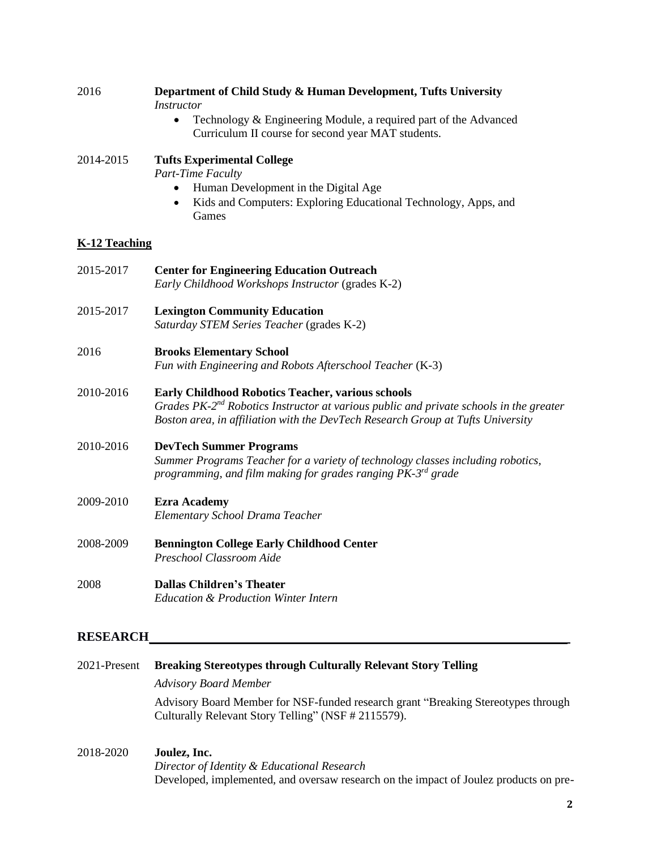| 2016                 | Department of Child Study & Human Development, Tufts University<br><b>Instructor</b>                                                                                                                                                       |
|----------------------|--------------------------------------------------------------------------------------------------------------------------------------------------------------------------------------------------------------------------------------------|
|                      | Technology & Engineering Module, a required part of the Advanced<br>$\bullet$<br>Curriculum II course for second year MAT students.                                                                                                        |
| 2014-2015            | <b>Tufts Experimental College</b><br>Part-Time Faculty                                                                                                                                                                                     |
|                      | Human Development in the Digital Age<br>Kids and Computers: Exploring Educational Technology, Apps, and<br>Games                                                                                                                           |
| <b>K-12 Teaching</b> |                                                                                                                                                                                                                                            |
| 2015-2017            | <b>Center for Engineering Education Outreach</b><br>Early Childhood Workshops Instructor (grades K-2)                                                                                                                                      |
| 2015-2017            | <b>Lexington Community Education</b><br>Saturday STEM Series Teacher (grades K-2)                                                                                                                                                          |
| 2016                 | <b>Brooks Elementary School</b><br>Fun with Engineering and Robots Afterschool Teacher (K-3)                                                                                                                                               |
| 2010-2016            | Early Childhood Robotics Teacher, various schools<br>Grades $PK\text{-}2^{nd}$ Robotics Instructor at various public and private schools in the greater<br>Boston area, in affiliation with the DevTech Research Group at Tufts University |
| 2010-2016            | <b>DevTech Summer Programs</b><br>Summer Programs Teacher for a variety of technology classes including robotics,<br>programming, and film making for grades ranging PK-3 <sup>rd</sup> grade                                              |
| 2009-2010            | <b>Ezra Academy</b><br>Elementary School Drama Teacher                                                                                                                                                                                     |
| 2008-2009            | <b>Bennington College Early Childhood Center</b><br>Preschool Classroom Aide                                                                                                                                                               |
| 2008                 | <b>Dallas Children's Theater</b><br><b>Education &amp; Production Winter Intern</b>                                                                                                                                                        |
| <b>RESEARCH</b>      |                                                                                                                                                                                                                                            |
| 2021-Present         | <b>Breaking Stereotypes through Culturally Relevant Story Telling</b>                                                                                                                                                                      |
|                      | <b>Advisory Board Member</b>                                                                                                                                                                                                               |
|                      | Advisory Board Member for NSF-funded research grant "Breaking Stereotypes through<br>Culturally Relevant Story Telling" (NSF # 2115579).                                                                                                   |

# 2018-2020 **Joulez, Inc.** *Director of Identity & Educational Research*

Developed, implemented, and oversaw research on the impact of Joulez products on pre-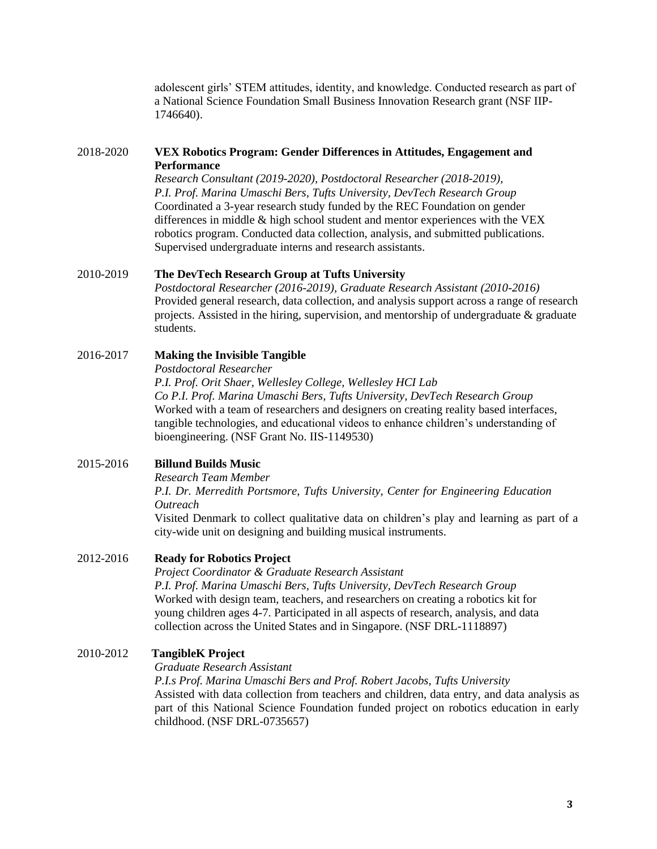adolescent girls' STEM attitudes, identity, and knowledge. Conducted research as part of a National Science Foundation Small Business Innovation Research grant (NSF IIP-1746640).

#### 2018-2020 **VEX Robotics Program: Gender Differences in Attitudes, Engagement and Performance**

*Research Consultant (2019-2020), Postdoctoral Researcher (2018-2019), P.I. Prof. Marina Umaschi Bers, Tufts University, DevTech Research Group* Coordinated a 3-year research study funded by the REC Foundation on gender differences in middle & high school student and mentor experiences with the VEX robotics program. Conducted data collection, analysis, and submitted publications. Supervised undergraduate interns and research assistants.

#### 2010-2019 **The DevTech Research Group at Tufts University**

*Postdoctoral Researcher (2016-2019), Graduate Research Assistant (2010-2016)* Provided general research, data collection, and analysis support across a range of research projects. Assisted in the hiring, supervision, and mentorship of undergraduate  $\&$  graduate students.

## 2016-2017 **Making the Invisible Tangible**

*Postdoctoral Researcher*

*P.I. Prof. Orit Shaer, Wellesley College, Wellesley HCI Lab Co P.I. Prof. Marina Umaschi Bers, Tufts University, DevTech Research Group* Worked with a team of researchers and designers on creating reality based interfaces, tangible technologies, and educational videos to enhance children's understanding of bioengineering. (NSF Grant No. IIS-1149530)

## 2015-2016 **Billund Builds Music**

*Research Team Member*

*P.I. Dr. Merredith Portsmore, Tufts University, Center for Engineering Education Outreach*

Visited Denmark to collect qualitative data on children's play and learning as part of a city-wide unit on designing and building musical instruments.

#### 2012-2016 **Ready for Robotics Project**

*Project Coordinator & Graduate Research Assistant P.I. Prof. Marina Umaschi Bers, Tufts University, DevTech Research Group* Worked with design team, teachers, and researchers on creating a robotics kit for young children ages 4-7. Participated in all aspects of research, analysis, and data collection across the United States and in Singapore. (NSF DRL-1118897)

### 2010-2012 **TangibleK Project**

*Graduate Research Assistant*

*P.I.s Prof. Marina Umaschi Bers and Prof. Robert Jacobs, Tufts University* Assisted with data collection from teachers and children, data entry, and data analysis as part of this National Science Foundation funded project on robotics education in early childhood. (NSF DRL-0735657)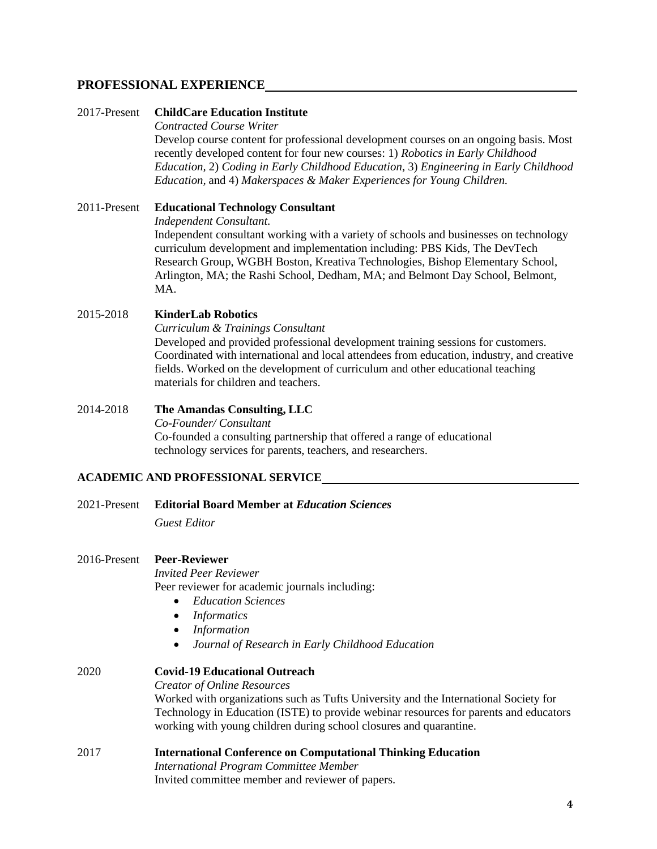## **PROFESSIONAL EXPERIENCE**

#### 2017-Present **ChildCare Education Institute**

#### *Contracted Course Writer*

Develop course content for professional development courses on an ongoing basis. Most recently developed content for four new courses: 1) *Robotics in Early Childhood Education,* 2) *Coding in Early Childhood Education*, 3) *Engineering in Early Childhood Education,* and 4) *Makerspaces & Maker Experiences for Young Children.*

## 2011-Present **Educational Technology Consultant** *Independent Consultant.* Independent consultant working with a variety of schools and businesses on technology curriculum development and implementation including: PBS Kids, The DevTech Research Group, WGBH Boston, Kreativa Technologies, Bishop Elementary School, Arlington, MA; the Rashi School, Dedham, MA; and Belmont Day School, Belmont, MA.

#### 2015-2018 **KinderLab Robotics**

*Curriculum & Trainings Consultant* Developed and provided professional development training sessions for customers. Coordinated with international and local attendees from education, industry, and creative fields. Worked on the development of curriculum and other educational teaching materials for children and teachers.

#### 2014-2018 **The Amandas Consulting, LLC**

*Co-Founder/ Consultant* Co-founded a consulting partnership that offered a range of educational technology services for parents, teachers, and researchers.

#### **ACADEMIC AND PROFESSIONAL SERVICE**

2021-Present **Editorial Board Member at** *Education Sciences*

*Guest Editor*

#### 2016-Present **Peer-Reviewer**

*Invited Peer Reviewer* Peer reviewer for academic journals including:

- *Education Sciences*
- *Informatics*
- *Information*
- *Journal of Research in Early Childhood Education*

# 2020 **Covid-19 Educational Outreach** *Creator of Online Resources* Worked with organizations such as Tufts University and the International Society for Technology in Education (ISTE) to provide webinar resources for parents and educators working with young children during school closures and quarantine.

# 2017 **International Conference on Computational Thinking Education**

*International Program Committee Member* Invited committee member and reviewer of papers.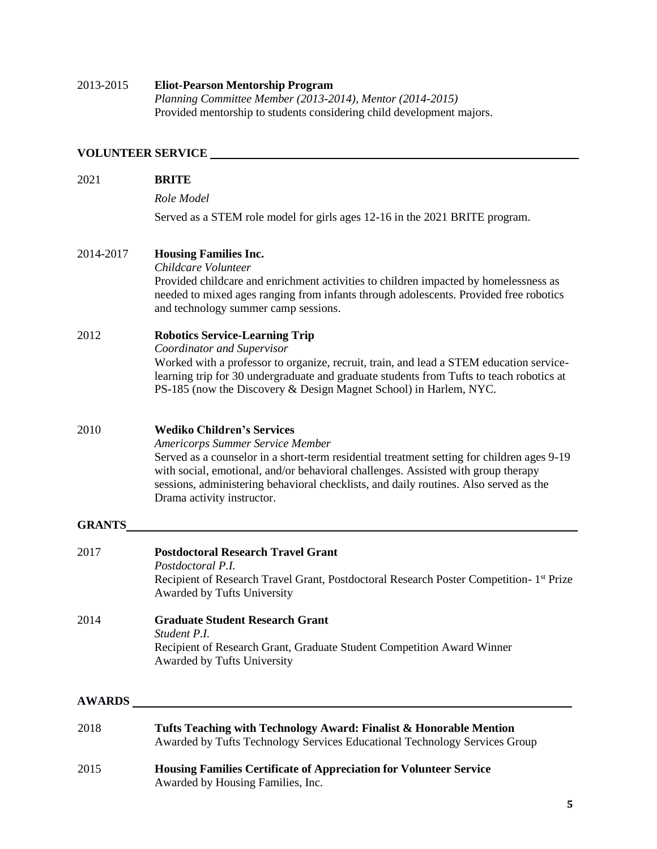# 2013-2015 **Eliot-Pearson Mentorship Program** *Planning Committee Member (2013-2014), Mentor (2014-2015)* Provided mentorship to students considering child development majors.

# **VOLUNTEER SERVICE**

| 2021          | <b>BRITE</b>                                                                                                                                                                                                                                                                                                                                                                           |
|---------------|----------------------------------------------------------------------------------------------------------------------------------------------------------------------------------------------------------------------------------------------------------------------------------------------------------------------------------------------------------------------------------------|
|               | Role Model                                                                                                                                                                                                                                                                                                                                                                             |
|               | Served as a STEM role model for girls ages 12-16 in the 2021 BRITE program.                                                                                                                                                                                                                                                                                                            |
| 2014-2017     | <b>Housing Families Inc.</b><br>Childcare Volunteer<br>Provided childcare and enrichment activities to children impacted by homelessness as<br>needed to mixed ages ranging from infants through adolescents. Provided free robotics<br>and technology summer camp sessions.                                                                                                           |
| 2012          | <b>Robotics Service-Learning Trip</b><br>Coordinator and Supervisor<br>Worked with a professor to organize, recruit, train, and lead a STEM education service-<br>learning trip for 30 undergraduate and graduate students from Tufts to teach robotics at<br>PS-185 (now the Discovery & Design Magnet School) in Harlem, NYC.                                                        |
| 2010          | <b>Wediko Children's Services</b><br><b>Americorps Summer Service Member</b><br>Served as a counselor in a short-term residential treatment setting for children ages 9-19<br>with social, emotional, and/or behavioral challenges. Assisted with group therapy<br>sessions, administering behavioral checklists, and daily routines. Also served as the<br>Drama activity instructor. |
| <b>GRANTS</b> |                                                                                                                                                                                                                                                                                                                                                                                        |
| 2017          | <b>Postdoctoral Research Travel Grant</b><br>Postdoctoral P.I.<br>Recipient of Research Travel Grant, Postdoctoral Research Poster Competition-1 <sup>st</sup> Prize<br>Awarded by Tufts University                                                                                                                                                                                    |
| 2014          | <b>Graduate Student Research Grant</b><br>Student P.I.<br>Recipient of Research Grant, Graduate Student Competition Award Winner<br>Awarded by Tufts University                                                                                                                                                                                                                        |
|               | <b>AWARDS</b>                                                                                                                                                                                                                                                                                                                                                                          |
| 2018          | Tufts Teaching with Technology Award: Finalist & Honorable Mention<br>Awarded by Tufts Technology Services Educational Technology Services Group                                                                                                                                                                                                                                       |
| 2015          | Housing Families Certificate of Appreciation for Volunteer Service<br>Awarded by Housing Families, Inc.                                                                                                                                                                                                                                                                                |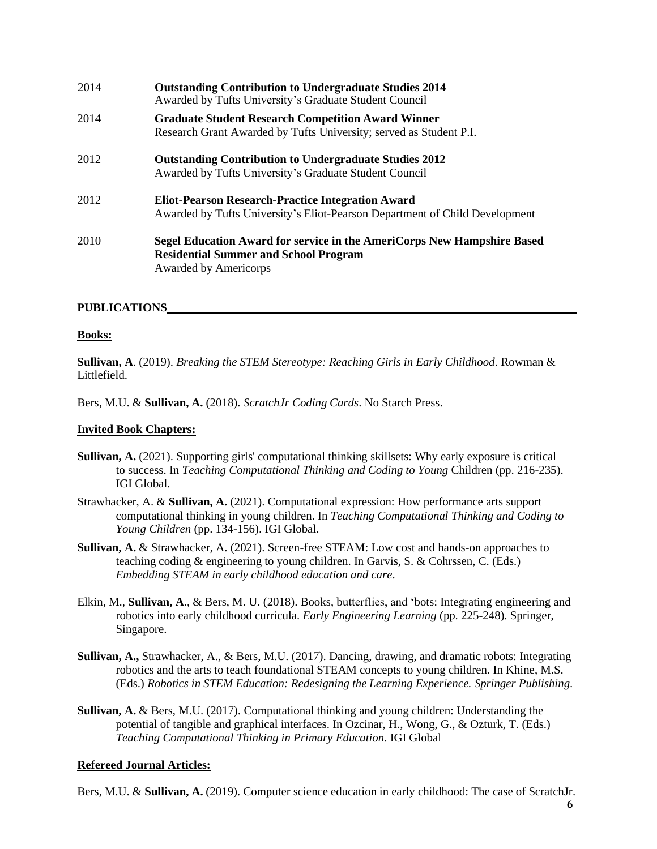| 2014 | <b>Outstanding Contribution to Undergraduate Studies 2014</b><br>Awarded by Tufts University's Graduate Student Council                                 |
|------|---------------------------------------------------------------------------------------------------------------------------------------------------------|
| 2014 | <b>Graduate Student Research Competition Award Winner</b><br>Research Grant Awarded by Tufts University; served as Student P.I.                         |
| 2012 | <b>Outstanding Contribution to Undergraduate Studies 2012</b><br>Awarded by Tufts University's Graduate Student Council                                 |
| 2012 | <b>Eliot-Pearson Research-Practice Integration Award</b><br>Awarded by Tufts University's Eliot-Pearson Department of Child Development                 |
| 2010 | Segel Education Award for service in the AmeriCorps New Hampshire Based<br><b>Residential Summer and School Program</b><br><b>Awarded by Americorps</b> |

### **PUBLICATIONS**

### **Books:**

**Sullivan, A**. (2019). *Breaking the STEM Stereotype: Reaching Girls in Early Childhood*. Rowman & Littlefield.

Bers, M.U. & **Sullivan, A.** (2018). *ScratchJr Coding Cards*. No Starch Press.

#### **Invited Book Chapters:**

- **Sullivan, A.** (2021). Supporting girls' computational thinking skillsets: Why early exposure is critical to success. In *Teaching Computational Thinking and Coding to Young* Children (pp. 216-235). IGI Global.
- Strawhacker, A. & **Sullivan, A.** (2021). Computational expression: How performance arts support computational thinking in young children. In *Teaching Computational Thinking and Coding to Young Children* (pp. 134-156). IGI Global.
- **Sullivan, A.** & Strawhacker, A. (2021). Screen-free STEAM: Low cost and hands-on approaches to teaching coding & engineering to young children. In Garvis, S. & Cohrssen, C. (Eds.) *Embedding STEAM in early childhood education and care*.
- Elkin, M., **Sullivan, A**., & Bers, M. U. (2018). Books, butterflies, and 'bots: Integrating engineering and robotics into early childhood curricula. *Early Engineering Learning* (pp. 225-248). Springer, Singapore.
- **Sullivan, A.,** Strawhacker, A., & Bers, M.U. (2017). Dancing, drawing, and dramatic robots: Integrating robotics and the arts to teach foundational STEAM concepts to young children. In Khine, M.S. (Eds.) *Robotics in STEM Education: Redesigning the Learning Experience. Springer Publishing*.
- **Sullivan, A.** & Bers, M.U. (2017). Computational thinking and young children: Understanding the potential of tangible and graphical interfaces. In Ozcinar, H., Wong, G., & Ozturk, T. (Eds.) *Teaching Computational Thinking in Primary Education*. IGI Global

### **Refereed Journal Articles:**

Bers, M.U. & **Sullivan, A.** (2019). Computer science education in early childhood: The case of ScratchJr.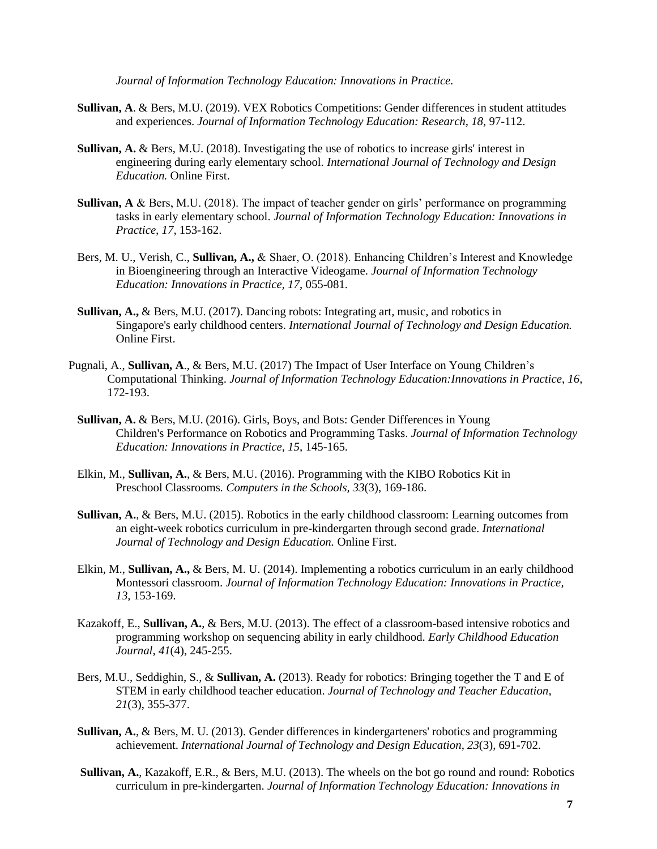*Journal of Information Technology Education: Innovations in Practice.*

- **Sullivan, A**. & Bers, M.U. (2019). VEX Robotics Competitions: Gender differences in student attitudes and experiences. *Journal of Information Technology Education: Research, 18*, 97-112.
- **Sullivan, A.** & Bers, M.U. (2018). Investigating the use of robotics to increase girls' interest in engineering during early elementary school. *International Journal of Technology and Design Education.* Online First.
- **Sullivan, A** & Bers, M.U. (2018). The impact of teacher gender on girls' performance on programming tasks in early elementary school. *Journal of Information Technology Education: Innovations in Practice, 17*, 153-162.
- Bers, M. U., Verish, C., **Sullivan, A.,** & Shaer, O. (2018). Enhancing Children's Interest and Knowledge in Bioengineering through an Interactive Videogame. *Journal of Information Technology Education: Innovations in Practice, 17*, 055-081.
- **Sullivan, A.,** & Bers, M.U. (2017). Dancing robots: Integrating art, music, and robotics in Singapore's early childhood centers. *International Journal of Technology and Design Education.* Online First.
- Pugnali, A., **Sullivan, A**., & Bers, M.U. (2017) The Impact of User Interface on Young Children's Computational Thinking. *Journal of Information Technology Education:Innovations in Practice*, *16*, 172-193.
	- **Sullivan, A.** & Bers, M.U. (2016). Girls, Boys, and Bots: Gender Differences in Young Children's Performance on Robotics and Programming Tasks. *Journal of Information Technology Education: Innovations in Practice, 15*, 145-165.
	- Elkin, M., **Sullivan, A.**, & Bers, M.U. (2016). Programming with the KIBO Robotics Kit in Preschool Classrooms*. Computers in the Schools, 33*(3), 169-186.
	- **Sullivan, A.**, & Bers, M.U. (2015). Robotics in the early childhood classroom: Learning outcomes from an eight-week robotics curriculum in pre-kindergarten through second grade. *International Journal of Technology and Design Education.* Online First.
	- Elkin, M., **Sullivan, A.,** & Bers, M. U. (2014). Implementing a robotics curriculum in an early childhood Montessori classroom. *Journal of Information Technology Education: Innovations in Practice, 13,* 153-169.
	- Kazakoff, E., **Sullivan, A.**, & Bers, M.U. (2013). The effect of a classroom-based intensive robotics and programming workshop on sequencing ability in early childhood. *Early Childhood Education Journal*, *41*(4), 245-255.
	- Bers, M.U., Seddighin, S., & **Sullivan, A.** (2013). Ready for robotics: Bringing together the T and E of STEM in early childhood teacher education. *Journal of Technology and Teacher Education*, *21*(3), 355-377.
	- **Sullivan, A.**, & Bers, M. U. (2013). Gender differences in kindergarteners' robotics and programming achievement. *International Journal of Technology and Design Education*, *23*(3), 691-702.
	- **Sullivan, A.**, Kazakoff, E.R., & Bers, M.U. (2013). The wheels on the bot go round and round: Robotics curriculum in pre-kindergarten. *Journal of Information Technology Education: Innovations in*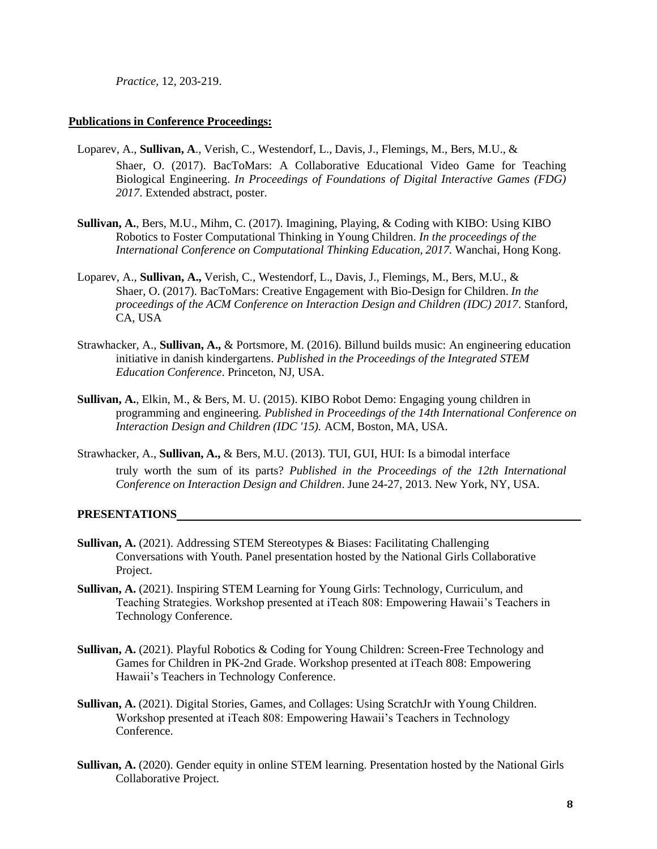*Practice,* 12, 203-219.

#### **Publications in Conference Proceedings:**

- Loparev, A., **Sullivan, A**., Verish, C., Westendorf, L., Davis, J., Flemings, M., Bers, M.U., & Shaer, O. (2017). BacToMars: A Collaborative Educational Video Game for Teaching Biological Engineering. *In Proceedings of Foundations of Digital Interactive Games (FDG) 2017*. Extended abstract, poster.
- **Sullivan, A.**, Bers, M.U., Mihm, C. (2017). Imagining, Playing, & Coding with KIBO: Using KIBO Robotics to Foster Computational Thinking in Young Children. *In the proceedings of the International Conference on Computational Thinking Education, 2017.* Wanchai, Hong Kong.
- Loparev, A., **Sullivan, A.,** Verish, C., Westendorf, L., Davis, J., Flemings, M., Bers, M.U., & Shaer, O. (2017). BacToMars: Creative Engagement with Bio-Design for Children. *In the proceedings of the ACM Conference on Interaction Design and Children (IDC) 2017*. Stanford, CA, USA
- Strawhacker, A., **Sullivan, A.,** & Portsmore, M. (2016). Billund builds music: An engineering education initiative in danish kindergartens. *Published in the Proceedings of the Integrated STEM Education Conference*. Princeton, NJ, USA.
- **Sullivan, A.**, Elkin, M., & Bers, M. U. (2015). KIBO Robot Demo: Engaging young children in programming and engineering*. Published in Proceedings of the 14th International Conference on Interaction Design and Children (IDC '15).* ACM, Boston, MA, USA.
- Strawhacker, A., **Sullivan, A.,** & Bers, M.U. (2013). TUI, GUI, HUI: Is a bimodal interface truly worth the sum of its parts? *Published in the Proceedings of the 12th International Conference on Interaction Design and Children*. June 24-27, 2013. New York, NY, USA.

#### **PRESENTATIONS**

- **Sullivan, A.** (2021). Addressing STEM Stereotypes & Biases: Facilitating Challenging Conversations with Youth. Panel presentation hosted by the National Girls Collaborative Project.
- **Sullivan, A.** (2021). Inspiring STEM Learning for Young Girls: Technology, Curriculum, and Teaching Strategies. Workshop presented at iTeach 808: Empowering Hawaii's Teachers in Technology Conference.
- **Sullivan, A.** (2021). Playful Robotics & Coding for Young Children: Screen-Free Technology and Games for Children in PK-2nd Grade. Workshop presented at iTeach 808: Empowering Hawaii's Teachers in Technology Conference.
- **Sullivan, A.** (2021). Digital Stories, Games, and Collages: Using ScratchJr with Young Children. Workshop presented at iTeach 808: Empowering Hawaii's Teachers in Technology Conference.
- **Sullivan, A.** (2020). Gender equity in online STEM learning. Presentation hosted by the National Girls Collaborative Project.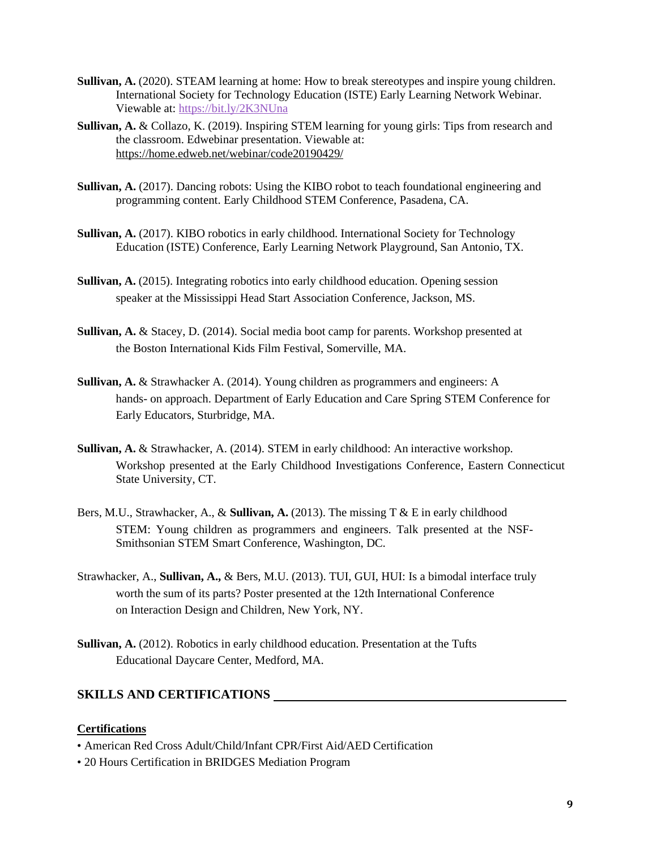- **Sullivan, A.** (2020). STEAM learning at home: How to break stereotypes and inspire young children. International Society for Technology Education (ISTE) Early Learning Network Webinar. Viewable at: <https://bit.ly/2K3NUna>
- **Sullivan, A.** & Collazo, K. (2019). Inspiring STEM learning for young girls: Tips from research and the classroom. Edwebinar presentation. Viewable at: <https://home.edweb.net/webinar/code20190429/>
- **Sullivan, A.** (2017). Dancing robots: Using the KIBO robot to teach foundational engineering and programming content. Early Childhood STEM Conference, Pasadena, CA.
- **Sullivan, A.** (2017). KIBO robotics in early childhood. International Society for Technology Education (ISTE) Conference, Early Learning Network Playground, San Antonio, TX.
- **Sullivan, A.** (2015). Integrating robotics into early childhood education. Opening session speaker at the Mississippi Head Start Association Conference, Jackson, MS.
- **Sullivan, A.** & Stacey, D. (2014). Social media boot camp for parents. Workshop presented at the Boston International Kids Film Festival, Somerville, MA.
- **Sullivan, A.** & Strawhacker A. (2014). Young children as programmers and engineers: A hands- on approach. Department of Early Education and Care Spring STEM Conference for Early Educators, Sturbridge, MA.
- **Sullivan, A.** & Strawhacker, A. (2014). STEM in early childhood: An interactive workshop. Workshop presented at the Early Childhood Investigations Conference, Eastern Connecticut State University, CT.
- Bers, M.U., Strawhacker, A., & **Sullivan, A.** (2013). The missing T & E in early childhood STEM: Young children as programmers and engineers. Talk presented at the NSF-Smithsonian STEM Smart Conference, Washington, DC.
- Strawhacker, A., **Sullivan, A.,** & Bers, M.U. (2013). TUI, GUI, HUI: Is a bimodal interface truly worth the sum of its parts? Poster presented at the 12th International Conference on Interaction Design and Children, New York, NY.
- **Sullivan, A.** (2012). Robotics in early childhood education. Presentation at the Tufts Educational Daycare Center, Medford, MA.

# **SKILLS AND CERTIFICATIONS**

### **Certifications**

- American Red Cross Adult/Child/Infant CPR/First Aid/AED Certification
- 20 Hours Certification in BRIDGES Mediation Program